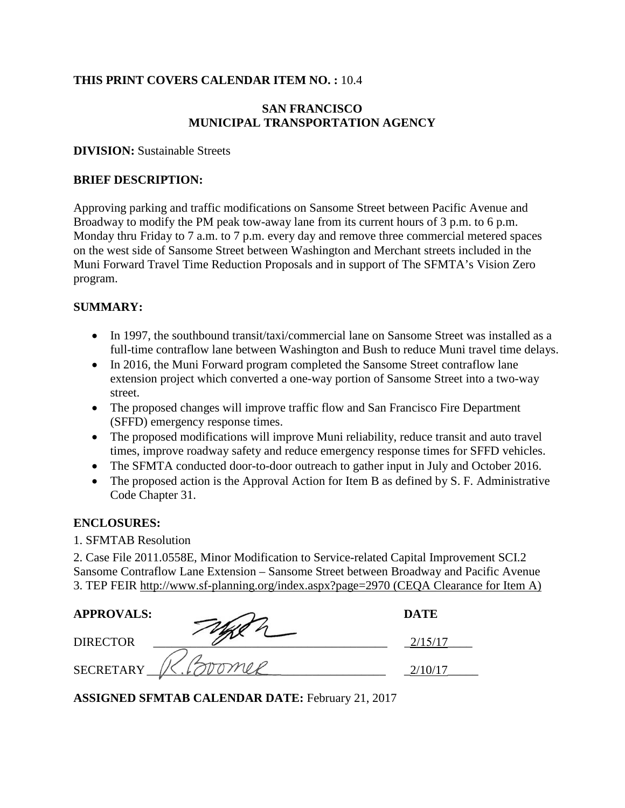#### **THIS PRINT COVERS CALENDAR ITEM NO. :** 10.4

# **SAN FRANCISCO MUNICIPAL TRANSPORTATION AGENCY**

#### **DIVISION:** Sustainable Streets

#### **BRIEF DESCRIPTION:**

Approving parking and traffic modifications on Sansome Street between Pacific Avenue and Broadway to modify the PM peak tow-away lane from its current hours of 3 p.m. to 6 p.m. Monday thru Friday to 7 a.m. to 7 p.m. every day and remove three commercial metered spaces on the west side of Sansome Street between Washington and Merchant streets included in the Muni Forward Travel Time Reduction Proposals and in support of The SFMTA's Vision Zero program.

#### **SUMMARY:**

- In 1997, the southbound transit/taxi/commercial lane on Sansome Street was installed as a full-time contraflow lane between Washington and Bush to reduce Muni travel time delays.
- In 2016, the Muni Forward program completed the Sansome Street contraflow lane extension project which converted a one-way portion of Sansome Street into a two-way street.
- The proposed changes will improve traffic flow and San Francisco Fire Department (SFFD) emergency response times.
- The proposed modifications will improve Muni reliability, reduce transit and auto travel times, improve roadway safety and reduce emergency response times for SFFD vehicles.
- The SFMTA conducted door-to-door outreach to gather input in July and October 2016.
- The proposed action is the Approval Action for Item B as defined by S. F. Administrative Code Chapter 31.

#### **ENCLOSURES:**

1. SFMTAB Resolution

2. Case File 2011.0558E, Minor Modification to Service-related Capital Improvement SCI.2 Sansome Contraflow Lane Extension – Sansome Street between Broadway and Pacific Avenue 3. TEP FEIR http://www.sf-planning.org/index.aspx?page=2970 (CEQA Clearance for Item A)

| <b>APPROVALS:</b> | <b>DATE</b> |
|-------------------|-------------|
| <b>DIRECTOR</b>   |             |
| <b>SECRETARY</b>  |             |

**ASSIGNED SFMTAB CALENDAR DATE:** February 21, 2017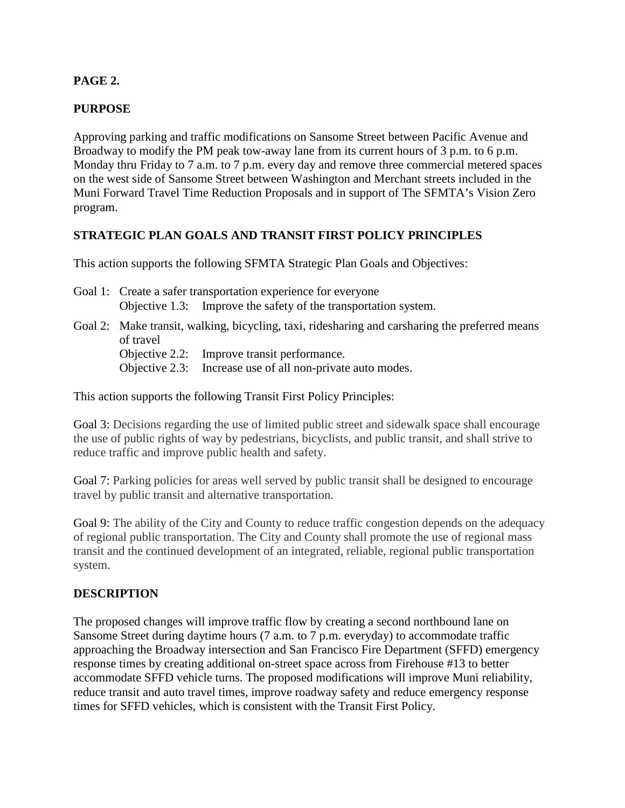# **PAGE 2.**

## **PURPOSE**

Approving parking and traffic modifications on Sansome Street between Pacific Avenue and Broadway to modify the PM peak tow-away lane from its current hours of 3 p.m. to 6 p.m. Monday thru Friday to 7 a.m. to 7 p.m. every day and remove three commercial metered spaces on the west side of Sansome Street between Washington and Merchant streets included in the Muni Forward Travel Time Reduction Proposals and in support of The SFMTA's Vision Zero program.

## **STRATEGIC PLAN GOALS AND TRANSIT FIRST POLICY PRINCIPLES**

This action supports the following SFMTA Strategic Plan Goals and Objectives:

- Goal 1: Create a safer transportation experience for everyone Objective 1.3: Improve the safety of the transportation system.
- Goal 2: Make transit, walking, bicycling, taxi, ridesharing and carsharing the preferred means of travel Objective 2.2: Improve transit performance.
	- Objective 2.3: Increase use of all non-private auto modes.

This action supports the following Transit First Policy Principles:

Goal 3: Decisions regarding the use of limited public street and sidewalk space shall encourage the use of public rights of way by pedestrians, bicyclists, and public transit, and shall strive to reduce traffic and improve public health and safety.

Goal 7: Parking policies for areas well served by public transit shall be designed to encourage travel by public transit and alternative transportation.

Goal 9: The ability of the City and County to reduce traffic congestion depends on the adequacy of regional public transportation. The City and County shall promote the use of regional mass transit and the continued development of an integrated, reliable, regional public transportation system.

#### **DESCRIPTION**

The proposed changes will improve traffic flow by creating a second northbound lane on Sansome Street during daytime hours (7 a.m. to 7 p.m. everyday) to accommodate traffic approaching the Broadway intersection and San Francisco Fire Department (SFFD) emergency response times by creating additional on-street space across from Firehouse #13 to better accommodate SFFD vehicle turns. The proposed modifications will improve Muni reliability, reduce transit and auto travel times, improve roadway safety and reduce emergency response times for SFFD vehicles, which is consistent with the Transit First Policy.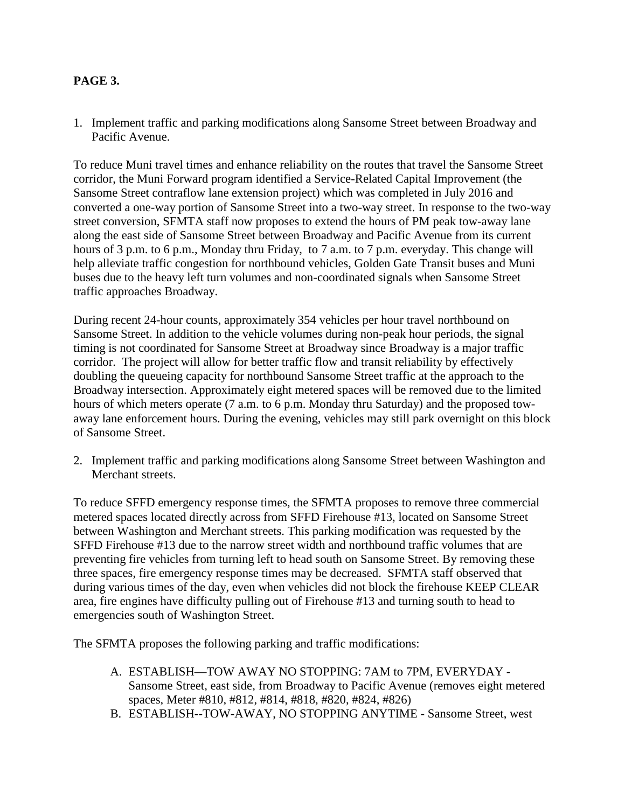# **PAGE 3.**

1. Implement traffic and parking modifications along Sansome Street between Broadway and Pacific Avenue.

To reduce Muni travel times and enhance reliability on the routes that travel the Sansome Street corridor, the Muni Forward program identified a Service-Related Capital Improvement (the Sansome Street contraflow lane extension project) which was completed in July 2016 and converted a one-way portion of Sansome Street into a two-way street. In response to the two-way street conversion, SFMTA staff now proposes to extend the hours of PM peak tow-away lane along the east side of Sansome Street between Broadway and Pacific Avenue from its current hours of 3 p.m. to 6 p.m., Monday thru Friday, to 7 a.m. to 7 p.m. everyday. This change will help alleviate traffic congestion for northbound vehicles, Golden Gate Transit buses and Muni buses due to the heavy left turn volumes and non-coordinated signals when Sansome Street traffic approaches Broadway.

During recent 24-hour counts, approximately 354 vehicles per hour travel northbound on Sansome Street. In addition to the vehicle volumes during non-peak hour periods, the signal timing is not coordinated for Sansome Street at Broadway since Broadway is a major traffic corridor. The project will allow for better traffic flow and transit reliability by effectively doubling the queueing capacity for northbound Sansome Street traffic at the approach to the Broadway intersection. Approximately eight metered spaces will be removed due to the limited hours of which meters operate (7 a.m. to 6 p.m. Monday thru Saturday) and the proposed towaway lane enforcement hours. During the evening, vehicles may still park overnight on this block of Sansome Street.

2. Implement traffic and parking modifications along Sansome Street between Washington and Merchant streets.

To reduce SFFD emergency response times, the SFMTA proposes to remove three commercial metered spaces located directly across from SFFD Firehouse #13, located on Sansome Street between Washington and Merchant streets. This parking modification was requested by the SFFD Firehouse #13 due to the narrow street width and northbound traffic volumes that are preventing fire vehicles from turning left to head south on Sansome Street. By removing these three spaces, fire emergency response times may be decreased. SFMTA staff observed that during various times of the day, even when vehicles did not block the firehouse KEEP CLEAR area, fire engines have difficulty pulling out of Firehouse #13 and turning south to head to emergencies south of Washington Street.

The SFMTA proposes the following parking and traffic modifications:

- A. ESTABLISH—TOW AWAY NO STOPPING: 7AM to 7PM, EVERYDAY Sansome Street, east side, from Broadway to Pacific Avenue (removes eight metered spaces, Meter #810, #812, #814, #818, #820, #824, #826)
- B. ESTABLISH--TOW-AWAY, NO STOPPING ANYTIME Sansome Street, west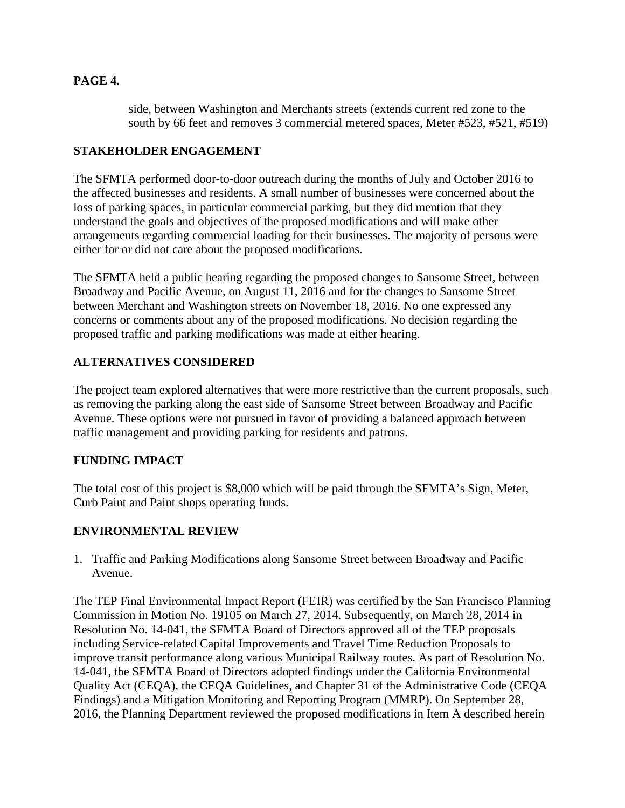# **PAGE 4.**

side, between Washington and Merchants streets (extends current red zone to the south by 66 feet and removes 3 commercial metered spaces, Meter #523, #521, #519)

## **STAKEHOLDER ENGAGEMENT**

The SFMTA performed door-to-door outreach during the months of July and October 2016 to the affected businesses and residents. A small number of businesses were concerned about the loss of parking spaces, in particular commercial parking, but they did mention that they understand the goals and objectives of the proposed modifications and will make other arrangements regarding commercial loading for their businesses. The majority of persons were either for or did not care about the proposed modifications.

The SFMTA held a public hearing regarding the proposed changes to Sansome Street, between Broadway and Pacific Avenue, on August 11, 2016 and for the changes to Sansome Street between Merchant and Washington streets on November 18, 2016. No one expressed any concerns or comments about any of the proposed modifications. No decision regarding the proposed traffic and parking modifications was made at either hearing.

# **ALTERNATIVES CONSIDERED**

The project team explored alternatives that were more restrictive than the current proposals, such as removing the parking along the east side of Sansome Street between Broadway and Pacific Avenue. These options were not pursued in favor of providing a balanced approach between traffic management and providing parking for residents and patrons.

## **FUNDING IMPACT**

The total cost of this project is \$8,000 which will be paid through the SFMTA's Sign, Meter, Curb Paint and Paint shops operating funds.

## **ENVIRONMENTAL REVIEW**

1. Traffic and Parking Modifications along Sansome Street between Broadway and Pacific Avenue.

The TEP Final Environmental Impact Report (FEIR) was certified by the San Francisco Planning Commission in Motion No. 19105 on March 27, 2014. Subsequently, on March 28, 2014 in Resolution No. 14-041, the SFMTA Board of Directors approved all of the TEP proposals including Service-related Capital Improvements and Travel Time Reduction Proposals to improve transit performance along various Municipal Railway routes. As part of Resolution No. 14-041, the SFMTA Board of Directors adopted findings under the California Environmental Quality Act (CEQA), the CEQA Guidelines, and Chapter 31 of the Administrative Code (CEQA Findings) and a Mitigation Monitoring and Reporting Program (MMRP). On September 28, 2016, the Planning Department reviewed the proposed modifications in Item A described herein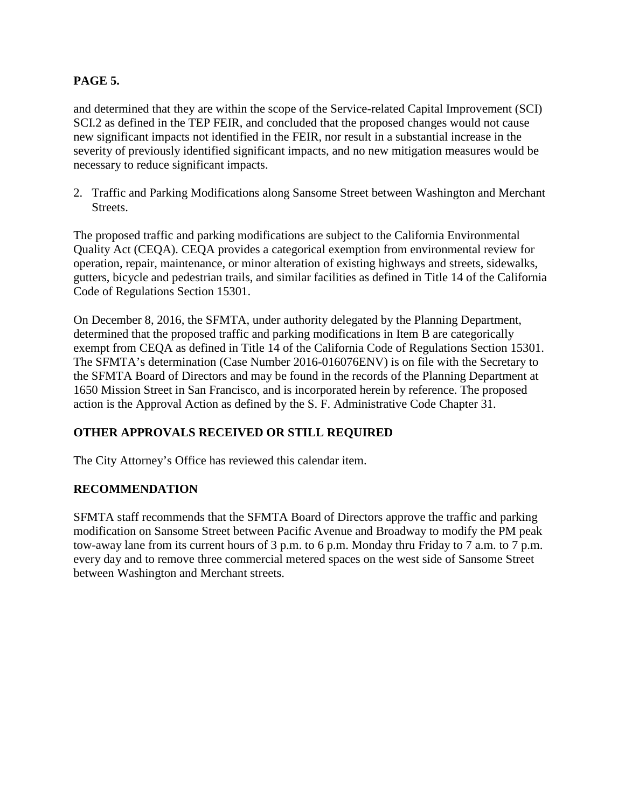# **PAGE 5.**

and determined that they are within the scope of the Service-related Capital Improvement (SCI) SCI.2 as defined in the TEP FEIR, and concluded that the proposed changes would not cause new significant impacts not identified in the FEIR, nor result in a substantial increase in the severity of previously identified significant impacts, and no new mitigation measures would be necessary to reduce significant impacts.

2. Traffic and Parking Modifications along Sansome Street between Washington and Merchant Streets.

The proposed traffic and parking modifications are subject to the California Environmental Quality Act (CEQA). CEQA provides a categorical exemption from environmental review for operation, repair, maintenance, or minor alteration of existing highways and streets, sidewalks, gutters, bicycle and pedestrian trails, and similar facilities as defined in Title 14 of the California Code of Regulations Section 15301.

On December 8, 2016, the SFMTA, under authority delegated by the Planning Department, determined that the proposed traffic and parking modifications in Item B are categorically exempt from CEQA as defined in Title 14 of the California Code of Regulations Section 15301. The SFMTA's determination (Case Number 2016-016076ENV) is on file with the Secretary to the SFMTA Board of Directors and may be found in the records of the Planning Department at 1650 Mission Street in San Francisco, and is incorporated herein by reference. The proposed action is the Approval Action as defined by the S. F. Administrative Code Chapter 31.

# **OTHER APPROVALS RECEIVED OR STILL REQUIRED**

The City Attorney's Office has reviewed this calendar item.

## **RECOMMENDATION**

SFMTA staff recommends that the SFMTA Board of Directors approve the traffic and parking modification on Sansome Street between Pacific Avenue and Broadway to modify the PM peak tow-away lane from its current hours of 3 p.m. to 6 p.m. Monday thru Friday to 7 a.m. to 7 p.m. every day and to remove three commercial metered spaces on the west side of Sansome Street between Washington and Merchant streets.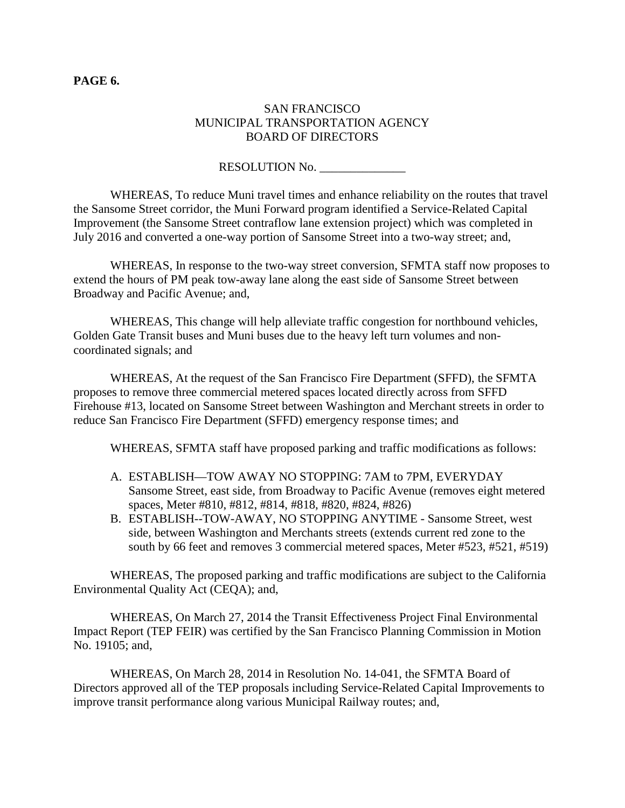#### **PAGE 6.**

## SAN FRANCISCO MUNICIPAL TRANSPORTATION AGENCY BOARD OF DIRECTORS

RESOLUTION No.

WHEREAS, To reduce Muni travel times and enhance reliability on the routes that travel the Sansome Street corridor, the Muni Forward program identified a Service-Related Capital Improvement (the Sansome Street contraflow lane extension project) which was completed in July 2016 and converted a one-way portion of Sansome Street into a two-way street; and,

WHEREAS, In response to the two-way street conversion, SFMTA staff now proposes to extend the hours of PM peak tow-away lane along the east side of Sansome Street between Broadway and Pacific Avenue; and,

WHEREAS, This change will help alleviate traffic congestion for northbound vehicles, Golden Gate Transit buses and Muni buses due to the heavy left turn volumes and noncoordinated signals; and

WHEREAS, At the request of the San Francisco Fire Department (SFFD), the SFMTA proposes to remove three commercial metered spaces located directly across from SFFD Firehouse #13, located on Sansome Street between Washington and Merchant streets in order to reduce San Francisco Fire Department (SFFD) emergency response times; and

WHEREAS, SFMTA staff have proposed parking and traffic modifications as follows:

- A. ESTABLISH—TOW AWAY NO STOPPING: 7AM to 7PM, EVERYDAY Sansome Street, east side, from Broadway to Pacific Avenue (removes eight metered spaces, Meter #810, #812, #814, #818, #820, #824, #826)
- B. ESTABLISH--TOW-AWAY, NO STOPPING ANYTIME Sansome Street, west side, between Washington and Merchants streets (extends current red zone to the south by 66 feet and removes 3 commercial metered spaces, Meter #523, #521, #519)

WHEREAS, The proposed parking and traffic modifications are subject to the California Environmental Quality Act (CEQA); and,

WHEREAS, On March 27, 2014 the Transit Effectiveness Project Final Environmental Impact Report (TEP FEIR) was certified by the San Francisco Planning Commission in Motion No. 19105; and,

WHEREAS, On March 28, 2014 in Resolution No. 14-041, the SFMTA Board of Directors approved all of the TEP proposals including Service-Related Capital Improvements to improve transit performance along various Municipal Railway routes; and,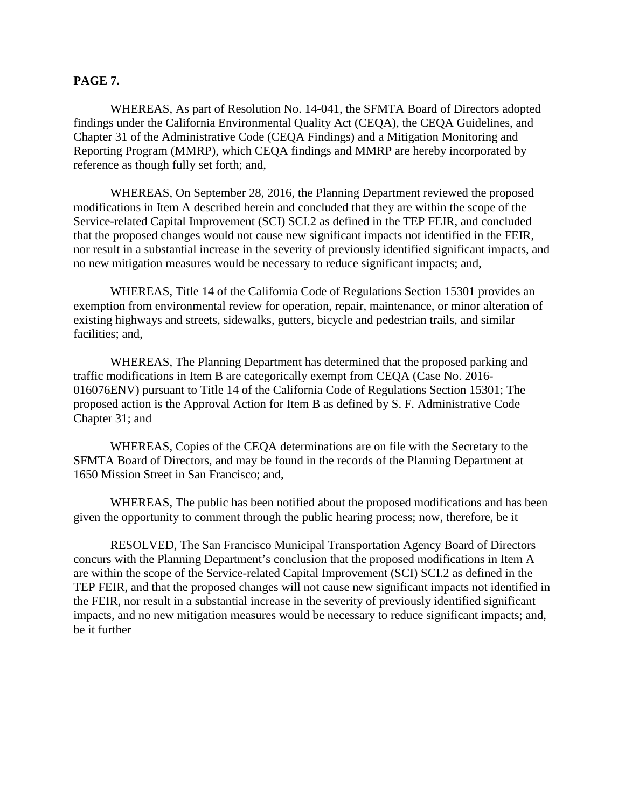#### **PAGE 7.**

WHEREAS, As part of Resolution No. 14-041, the SFMTA Board of Directors adopted findings under the California Environmental Quality Act (CEQA), the CEQA Guidelines, and Chapter 31 of the Administrative Code (CEQA Findings) and a Mitigation Monitoring and Reporting Program (MMRP), which CEQA findings and MMRP are hereby incorporated by reference as though fully set forth; and,

WHEREAS, On September 28, 2016, the Planning Department reviewed the proposed modifications in Item A described herein and concluded that they are within the scope of the Service-related Capital Improvement (SCI) SCI.2 as defined in the TEP FEIR, and concluded that the proposed changes would not cause new significant impacts not identified in the FEIR, nor result in a substantial increase in the severity of previously identified significant impacts, and no new mitigation measures would be necessary to reduce significant impacts; and,

WHEREAS, Title 14 of the California Code of Regulations Section 15301 provides an exemption from environmental review for operation, repair, maintenance, or minor alteration of existing highways and streets, sidewalks, gutters, bicycle and pedestrian trails, and similar facilities; and,

WHEREAS, The Planning Department has determined that the proposed parking and traffic modifications in Item B are categorically exempt from CEQA (Case No. 2016- 016076ENV) pursuant to Title 14 of the California Code of Regulations Section 15301; The proposed action is the Approval Action for Item B as defined by S. F. Administrative Code Chapter 31; and

WHEREAS, Copies of the CEQA determinations are on file with the Secretary to the SFMTA Board of Directors, and may be found in the records of the Planning Department at 1650 Mission Street in San Francisco; and,

WHEREAS, The public has been notified about the proposed modifications and has been given the opportunity to comment through the public hearing process; now, therefore, be it

RESOLVED, The San Francisco Municipal Transportation Agency Board of Directors concurs with the Planning Department's conclusion that the proposed modifications in Item A are within the scope of the Service-related Capital Improvement (SCI) SCI.2 as defined in the TEP FEIR, and that the proposed changes will not cause new significant impacts not identified in the FEIR, nor result in a substantial increase in the severity of previously identified significant impacts, and no new mitigation measures would be necessary to reduce significant impacts; and, be it further